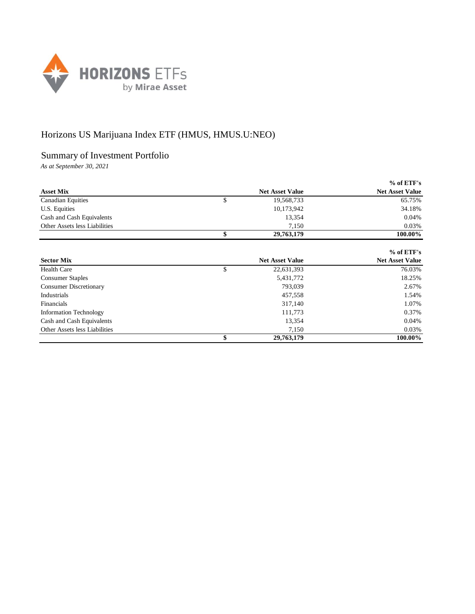

## Horizons US Marijuana Index ETF (HMUS, HMUS.U:NEO)

## Summary of Investment Portfolio

*As at September 30, 2021*

|                               |                        | $%$ of ETF's           |
|-------------------------------|------------------------|------------------------|
| <b>Asset Mix</b>              | <b>Net Asset Value</b> | <b>Net Asset Value</b> |
| <b>Canadian Equities</b>      | \$<br>19,568,733       | 65.75%                 |
| U.S. Equities                 | 10,173,942             | 34.18%                 |
| Cash and Cash Equivalents     | 13,354                 | 0.04%                  |
| Other Assets less Liabilities | 7.150                  | 0.03%                  |
|                               | 29,763,179             | 100.00%                |

|                               |                        | $%$ of ETF's           |
|-------------------------------|------------------------|------------------------|
| <b>Sector Mix</b>             | <b>Net Asset Value</b> | <b>Net Asset Value</b> |
| Health Care                   | \$<br>22,631,393       | 76.03%                 |
| <b>Consumer Staples</b>       | 5,431,772              | 18.25%                 |
| <b>Consumer Discretionary</b> | 793,039                | 2.67%                  |
| Industrials                   | 457,558                | 1.54%                  |
| Financials                    | 317,140                | 1.07%                  |
| <b>Information Technology</b> | 111,773                | 0.37%                  |
| Cash and Cash Equivalents     | 13,354                 | 0.04%                  |
| Other Assets less Liabilities | 7,150                  | 0.03%                  |
|                               | 29,763,179             | 100.00%                |